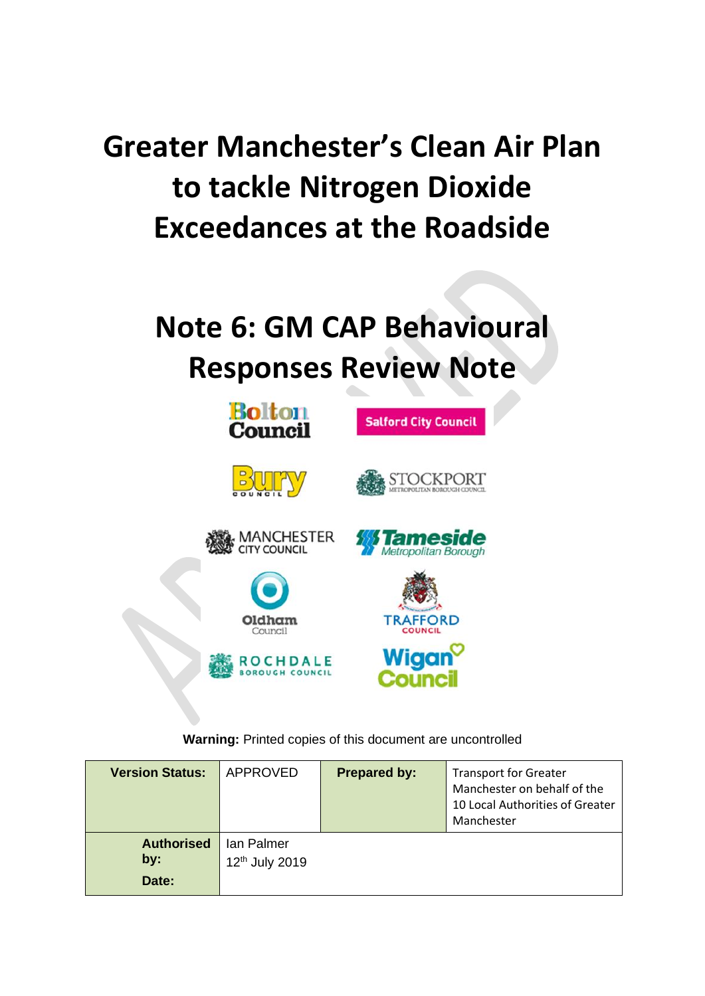# **Greater Manchester's Clean Air Plan to tackle Nitrogen Dioxide Exceedances at the Roadside**

# **Note 6: GM CAP Behavioural Responses Review Note**



**Warning:** Printed copies of this document are uncontrolled

| <b>Version Status:</b>            | APPROVED                                 | <b>Prepared by:</b> | <b>Transport for Greater</b><br>Manchester on behalf of the<br>10 Local Authorities of Greater<br>Manchester |
|-----------------------------------|------------------------------------------|---------------------|--------------------------------------------------------------------------------------------------------------|
| <b>Authorised</b><br>by:<br>Date: | Ian Palmer<br>12 <sup>th</sup> July 2019 |                     |                                                                                                              |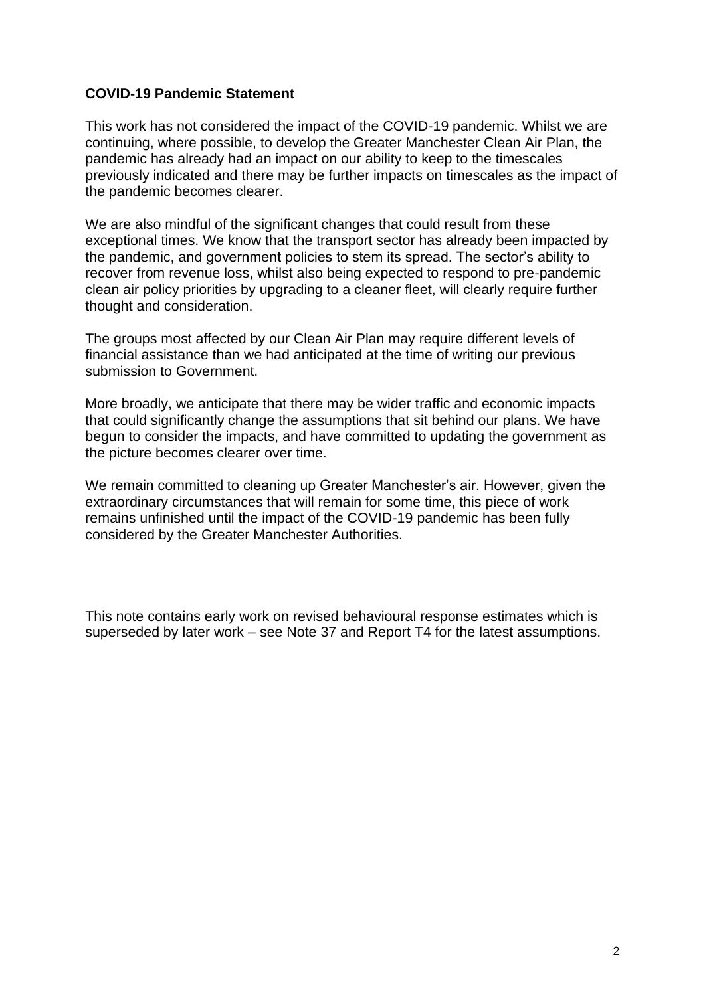### **COVID-19 Pandemic Statement**

This work has not considered the impact of the COVID-19 pandemic. Whilst we are continuing, where possible, to develop the Greater Manchester Clean Air Plan, the pandemic has already had an impact on our ability to keep to the timescales previously indicated and there may be further impacts on timescales as the impact of the pandemic becomes clearer.

We are also mindful of the significant changes that could result from these exceptional times. We know that the transport sector has already been impacted by the pandemic, and government policies to stem its spread. The sector's ability to recover from revenue loss, whilst also being expected to respond to pre-pandemic clean air policy priorities by upgrading to a cleaner fleet, will clearly require further thought and consideration.

The groups most affected by our Clean Air Plan may require different levels of financial assistance than we had anticipated at the time of writing our previous submission to Government.

More broadly, we anticipate that there may be wider traffic and economic impacts that could significantly change the assumptions that sit behind our plans. We have begun to consider the impacts, and have committed to updating the government as the picture becomes clearer over time.

We remain committed to cleaning up Greater Manchester's air. However, given the extraordinary circumstances that will remain for some time, this piece of work remains unfinished until the impact of the COVID-19 pandemic has been fully considered by the Greater Manchester Authorities.

This note contains early work on revised behavioural response estimates which is superseded by later work – see Note 37 and Report T4 for the latest assumptions.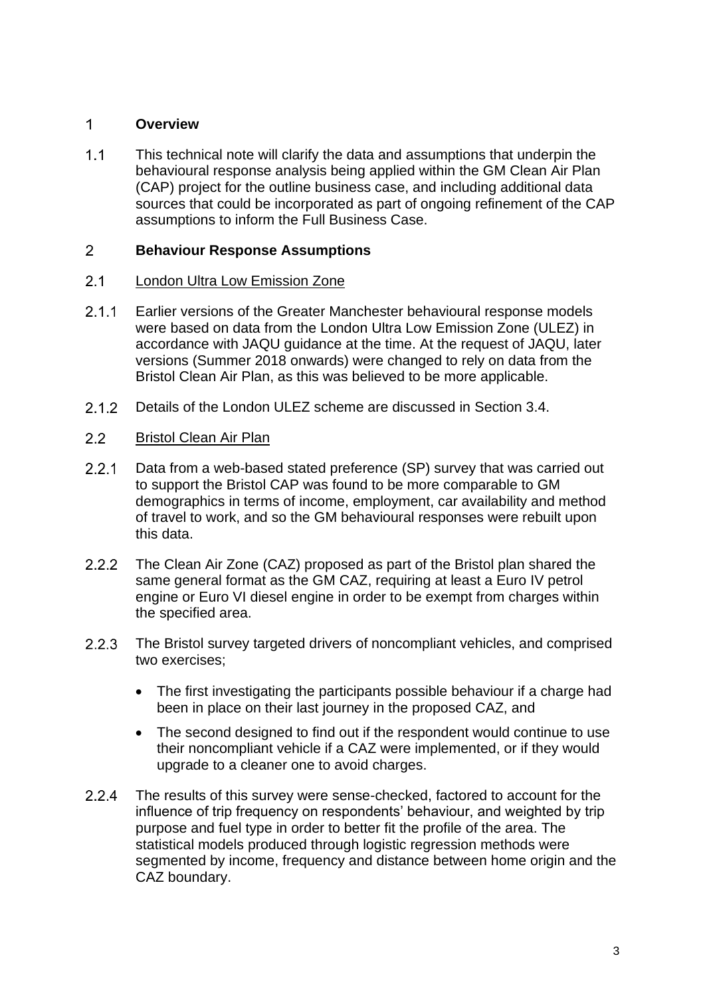#### $\overline{1}$ **Overview**

 $1.1$ This technical note will clarify the data and assumptions that underpin the behavioural response analysis being applied within the GM Clean Air Plan (CAP) project for the outline business case, and including additional data sources that could be incorporated as part of ongoing refinement of the CAP assumptions to inform the Full Business Case.

#### $2<sup>1</sup>$ **Behaviour Response Assumptions**

#### $2.1$ London Ultra Low Emission Zone

- $2.1.1$ Earlier versions of the Greater Manchester behavioural response models were based on data from the London Ultra Low Emission Zone (ULEZ) in accordance with JAQU guidance at the time. At the request of JAQU, later versions (Summer 2018 onwards) were changed to rely on data from the Bristol Clean Air Plan, as this was believed to be more applicable.
- $2.1.2$ Details of the London ULEZ scheme are discussed in Section 3.4.
- $2.2$ Bristol Clean Air Plan
- $2.2.1$ Data from a web-based stated preference (SP) survey that was carried out to support the Bristol CAP was found to be more comparable to GM demographics in terms of income, employment, car availability and method of travel to work, and so the GM behavioural responses were rebuilt upon this data.
- $2.2.2$ The Clean Air Zone (CAZ) proposed as part of the Bristol plan shared the same general format as the GM CAZ, requiring at least a Euro IV petrol engine or Euro VI diesel engine in order to be exempt from charges within the specified area.
- $2.2.3$ The Bristol survey targeted drivers of noncompliant vehicles, and comprised two exercises;
	- The first investigating the participants possible behaviour if a charge had been in place on their last journey in the proposed CAZ, and
	- The second designed to find out if the respondent would continue to use their noncompliant vehicle if a CAZ were implemented, or if they would upgrade to a cleaner one to avoid charges.
- $2.2.4$ The results of this survey were sense-checked, factored to account for the influence of trip frequency on respondents' behaviour, and weighted by trip purpose and fuel type in order to better fit the profile of the area. The statistical models produced through logistic regression methods were segmented by income, frequency and distance between home origin and the CAZ boundary.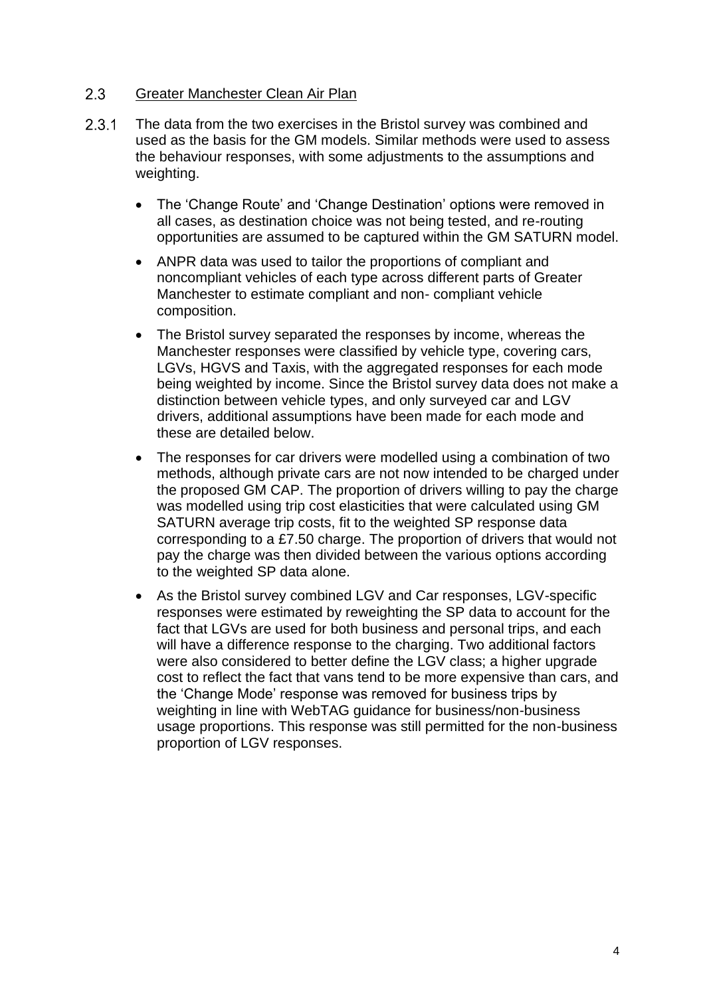#### $2.3$ Greater Manchester Clean Air Plan

- $2.3.1$ The data from the two exercises in the Bristol survey was combined and used as the basis for the GM models. Similar methods were used to assess the behaviour responses, with some adjustments to the assumptions and weighting.
	- The 'Change Route' and 'Change Destination' options were removed in all cases, as destination choice was not being tested, and re-routing opportunities are assumed to be captured within the GM SATURN model.
	- ANPR data was used to tailor the proportions of compliant and noncompliant vehicles of each type across different parts of Greater Manchester to estimate compliant and non- compliant vehicle composition.
	- The Bristol survey separated the responses by income, whereas the Manchester responses were classified by vehicle type, covering cars, LGVs, HGVS and Taxis, with the aggregated responses for each mode being weighted by income. Since the Bristol survey data does not make a distinction between vehicle types, and only surveyed car and LGV drivers, additional assumptions have been made for each mode and these are detailed below.
	- The responses for car drivers were modelled using a combination of two methods, although private cars are not now intended to be charged under the proposed GM CAP. The proportion of drivers willing to pay the charge was modelled using trip cost elasticities that were calculated using GM SATURN average trip costs, fit to the weighted SP response data corresponding to a £7.50 charge. The proportion of drivers that would not pay the charge was then divided between the various options according to the weighted SP data alone.
	- As the Bristol survey combined LGV and Car responses, LGV-specific responses were estimated by reweighting the SP data to account for the fact that LGVs are used for both business and personal trips, and each will have a difference response to the charging. Two additional factors were also considered to better define the LGV class; a higher upgrade cost to reflect the fact that vans tend to be more expensive than cars, and the 'Change Mode' response was removed for business trips by weighting in line with WebTAG guidance for business/non-business usage proportions. This response was still permitted for the non-business proportion of LGV responses.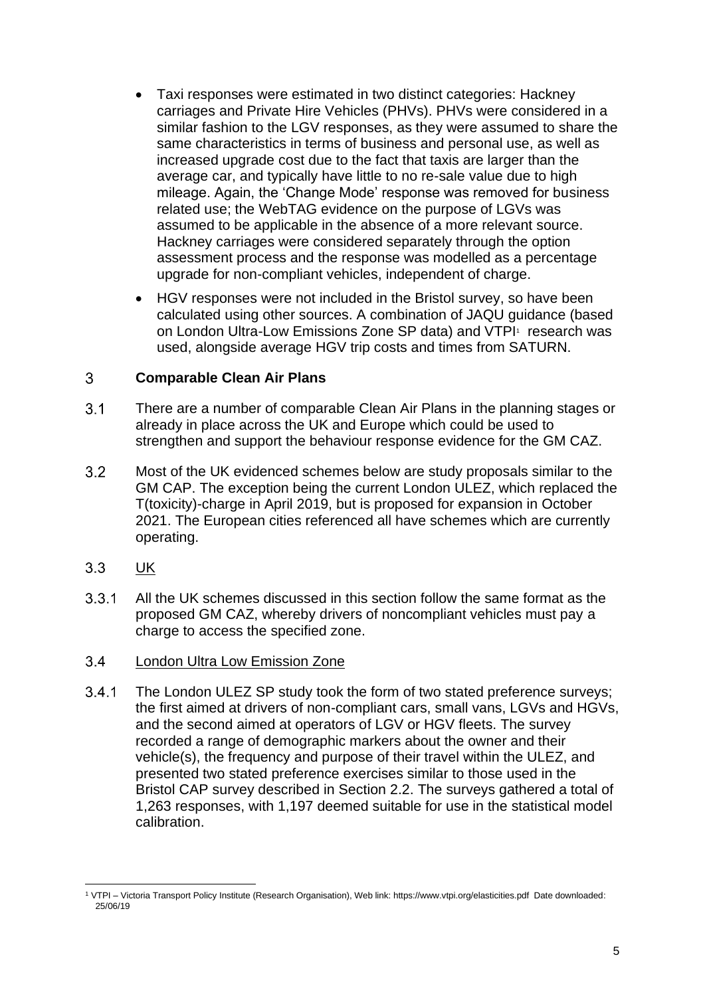- Taxi responses were estimated in two distinct categories: Hackney carriages and Private Hire Vehicles (PHVs). PHVs were considered in a similar fashion to the LGV responses, as they were assumed to share the same characteristics in terms of business and personal use, as well as increased upgrade cost due to the fact that taxis are larger than the average car, and typically have little to no re-sale value due to high mileage. Again, the 'Change Mode' response was removed for business related use; the WebTAG evidence on the purpose of LGVs was assumed to be applicable in the absence of a more relevant source. Hackney carriages were considered separately through the option assessment process and the response was modelled as a percentage upgrade for non-compliant vehicles, independent of charge.
- HGV responses were not included in the Bristol survey, so have been calculated using other sources. A combination of JAQU guidance (based on London Ultra-Low Emissions Zone SP data) and VTPI<sup>1</sup> research was used, alongside average HGV trip costs and times from SATURN.

#### 3 **Comparable Clean Air Plans**

- $3.1$ There are a number of comparable Clean Air Plans in the planning stages or already in place across the UK and Europe which could be used to strengthen and support the behaviour response evidence for the GM CAZ.
- $3.2$ Most of the UK evidenced schemes below are study proposals similar to the GM CAP. The exception being the current London ULEZ, which replaced the T(toxicity)-charge in April 2019, but is proposed for expansion in October 2021. The European cities referenced all have schemes which are currently operating.
- $3.3$ UK
- $3.3.1$ All the UK schemes discussed in this section follow the same format as the proposed GM CAZ, whereby drivers of noncompliant vehicles must pay a charge to access the specified zone.
- London Ultra Low Emission Zone  $34$
- $3.4.1$ The London ULEZ SP study took the form of two stated preference surveys; the first aimed at drivers of non-compliant cars, small vans, LGVs and HGVs, and the second aimed at operators of LGV or HGV fleets. The survey recorded a range of demographic markers about the owner and their vehicle(s), the frequency and purpose of their travel within the ULEZ, and presented two stated preference exercises similar to those used in the Bristol CAP survey described in Section 2.2. The surveys gathered a total of 1,263 responses, with 1,197 deemed suitable for use in the statistical model calibration.

<sup>1</sup> VTPI – Victoria Transport Policy Institute (Research Organisation), Web link: https://www.vtpi.org/elasticities.pdf Date downloaded: 25/06/19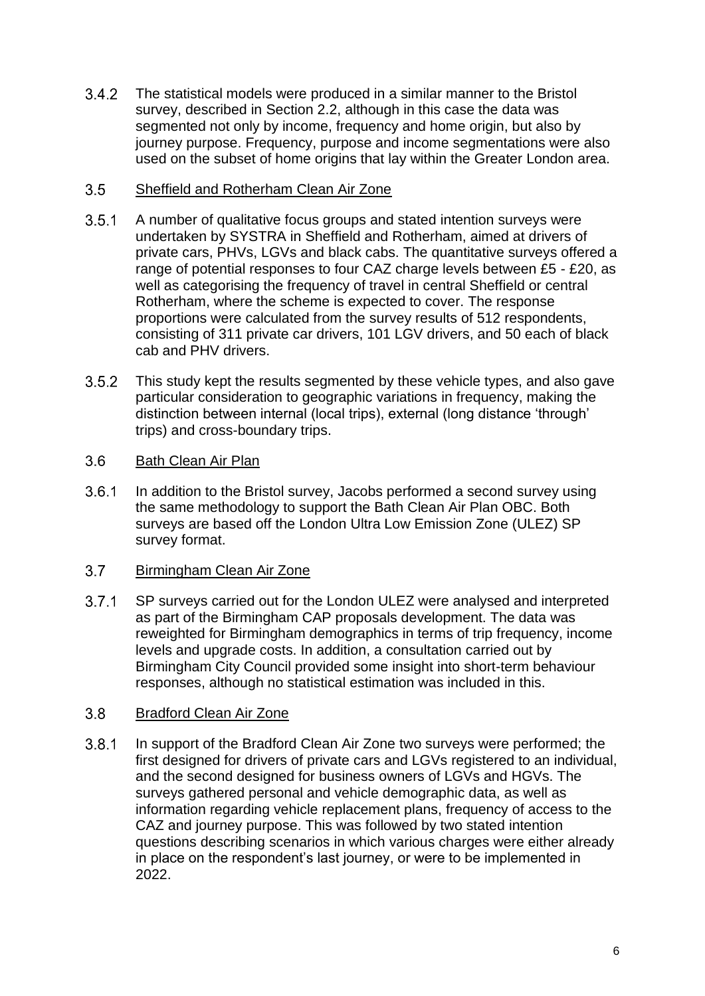$3.4.2$ The statistical models were produced in a similar manner to the Bristol survey, described in Section 2.2, although in this case the data was segmented not only by income, frequency and home origin, but also by journey purpose. Frequency, purpose and income segmentations were also used on the subset of home origins that lay within the Greater London area.

#### $3.5$ Sheffield and Rotherham Clean Air Zone

- $3.5.1$ A number of qualitative focus groups and stated intention surveys were undertaken by SYSTRA in Sheffield and Rotherham, aimed at drivers of private cars, PHVs, LGVs and black cabs. The quantitative surveys offered a range of potential responses to four CAZ charge levels between £5 - £20, as well as categorising the frequency of travel in central Sheffield or central Rotherham, where the scheme is expected to cover. The response proportions were calculated from the survey results of 512 respondents, consisting of 311 private car drivers, 101 LGV drivers, and 50 each of black cab and PHV drivers.
- $3.5.2$ This study kept the results segmented by these vehicle types, and also gave particular consideration to geographic variations in frequency, making the distinction between internal (local trips), external (long distance 'through' trips) and cross-boundary trips.

#### $3.6$ Bath Clean Air Plan

 $3.6.1$ In addition to the Bristol survey, Jacobs performed a second survey using the same methodology to support the Bath Clean Air Plan OBC. Both surveys are based off the London Ultra Low Emission Zone (ULEZ) SP survey format.

#### $3.7$ Birmingham Clean Air Zone

 $3.7.1$ SP surveys carried out for the London ULEZ were analysed and interpreted as part of the Birmingham CAP proposals development. The data was reweighted for Birmingham demographics in terms of trip frequency, income levels and upgrade costs. In addition, a consultation carried out by Birmingham City Council provided some insight into short-term behaviour responses, although no statistical estimation was included in this.

#### $3.8$ Bradford Clean Air Zone

 $3.8.1$ In support of the Bradford Clean Air Zone two surveys were performed; the first designed for drivers of private cars and LGVs registered to an individual, and the second designed for business owners of LGVs and HGVs. The surveys gathered personal and vehicle demographic data, as well as information regarding vehicle replacement plans, frequency of access to the CAZ and journey purpose. This was followed by two stated intention questions describing scenarios in which various charges were either already in place on the respondent's last journey, or were to be implemented in 2022.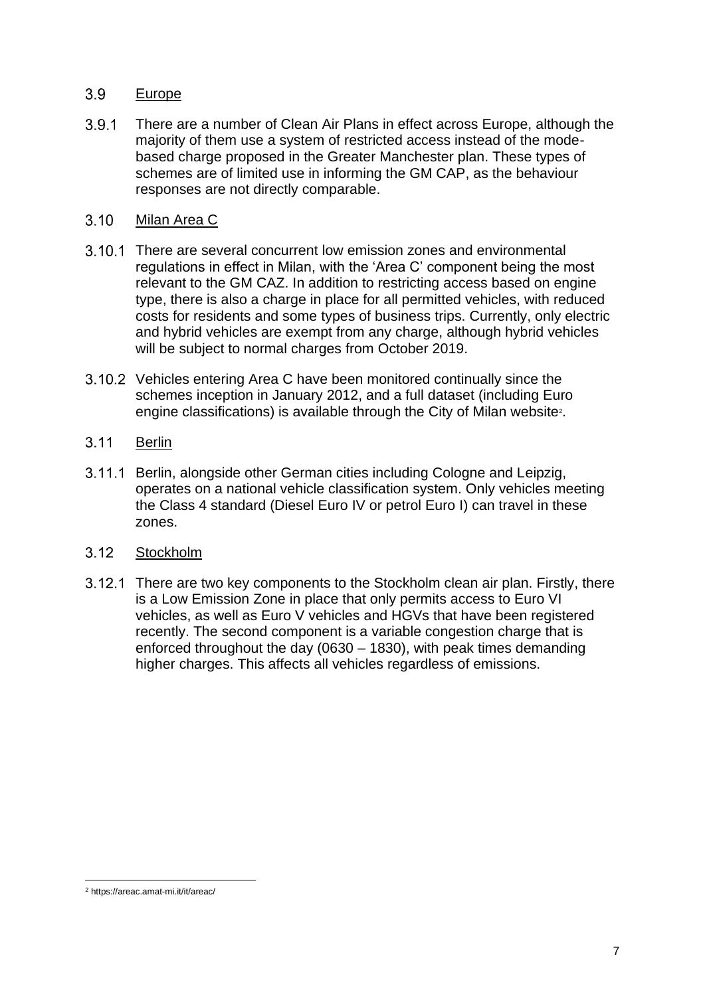#### $3.9$ Europe

- $3.9.1$ There are a number of Clean Air Plans in effect across Europe, although the majority of them use a system of restricted access instead of the modebased charge proposed in the Greater Manchester plan. These types of schemes are of limited use in informing the GM CAP, as the behaviour responses are not directly comparable.
- $3.10$ Milan Area C
- 3.10.1 There are several concurrent low emission zones and environmental regulations in effect in Milan, with the 'Area C' component being the most relevant to the GM CAZ. In addition to restricting access based on engine type, there is also a charge in place for all permitted vehicles, with reduced costs for residents and some types of business trips. Currently, only electric and hybrid vehicles are exempt from any charge, although hybrid vehicles will be subject to normal charges from October 2019.
- 3.10.2 Vehicles entering Area C have been monitored continually since the schemes inception in January 2012, and a full dataset (including Euro engine classifications) is available through the City of Milan website<sup>2</sup>.
- $3.11$ Berlin
- 3.11.1 Berlin, alongside other German cities including Cologne and Leipzig, operates on a national vehicle classification system. Only vehicles meeting the Class 4 standard (Diesel Euro IV or petrol Euro I) can travel in these zones.
- $3.12$ **Stockholm**
- 3.12.1 There are two key components to the Stockholm clean air plan. Firstly, there is a Low Emission Zone in place that only permits access to Euro VI vehicles, as well as Euro V vehicles and HGVs that have been registered recently. The second component is a variable congestion charge that is enforced throughout the day (0630 – 1830), with peak times demanding higher charges. This affects all vehicles regardless of emissions.

<sup>2</sup> https://areac.amat-mi.it/it/areac/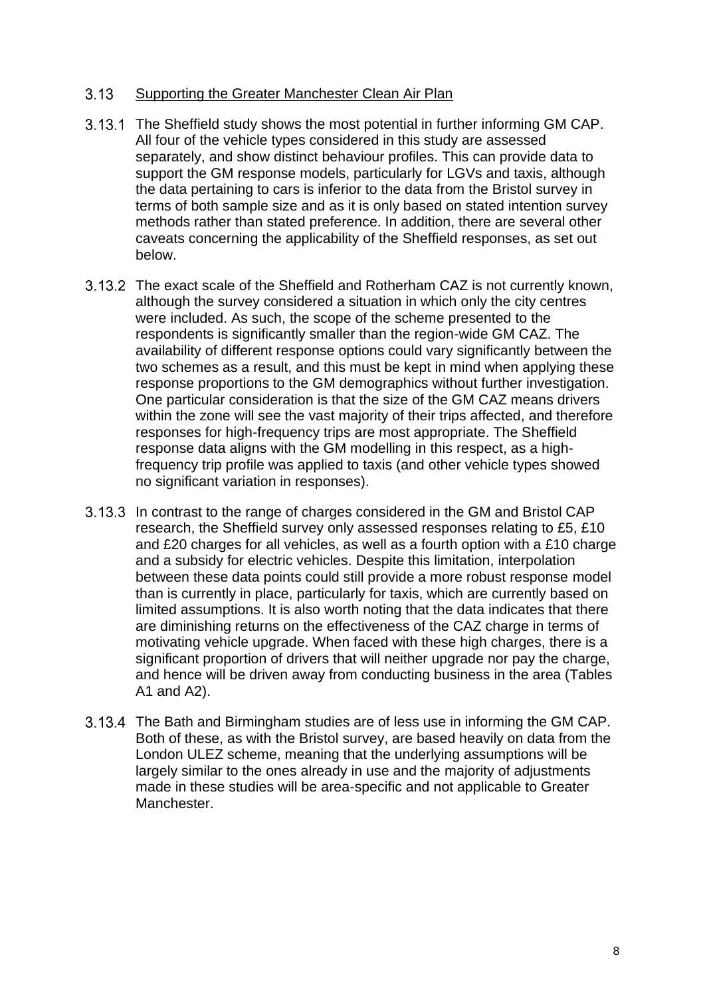#### $3.13$ Supporting the Greater Manchester Clean Air Plan

- 3.13.1 The Sheffield study shows the most potential in further informing GM CAP. All four of the vehicle types considered in this study are assessed separately, and show distinct behaviour profiles. This can provide data to support the GM response models, particularly for LGVs and taxis, although the data pertaining to cars is inferior to the data from the Bristol survey in terms of both sample size and as it is only based on stated intention survey methods rather than stated preference. In addition, there are several other caveats concerning the applicability of the Sheffield responses, as set out below.
- 3.13.2 The exact scale of the Sheffield and Rotherham CAZ is not currently known, although the survey considered a situation in which only the city centres were included. As such, the scope of the scheme presented to the respondents is significantly smaller than the region-wide GM CAZ. The availability of different response options could vary significantly between the two schemes as a result, and this must be kept in mind when applying these response proportions to the GM demographics without further investigation. One particular consideration is that the size of the GM CAZ means drivers within the zone will see the vast majority of their trips affected, and therefore responses for high-frequency trips are most appropriate. The Sheffield response data aligns with the GM modelling in this respect, as a highfrequency trip profile was applied to taxis (and other vehicle types showed no significant variation in responses).
- 3.13.3 In contrast to the range of charges considered in the GM and Bristol CAP research, the Sheffield survey only assessed responses relating to £5, £10 and £20 charges for all vehicles, as well as a fourth option with a £10 charge and a subsidy for electric vehicles. Despite this limitation, interpolation between these data points could still provide a more robust response model than is currently in place, particularly for taxis, which are currently based on limited assumptions. It is also worth noting that the data indicates that there are diminishing returns on the effectiveness of the CAZ charge in terms of motivating vehicle upgrade. When faced with these high charges, there is a significant proportion of drivers that will neither upgrade nor pay the charge, and hence will be driven away from conducting business in the area (Tables A1 and A2).
- 3.13.4 The Bath and Birmingham studies are of less use in informing the GM CAP. Both of these, as with the Bristol survey, are based heavily on data from the London ULEZ scheme, meaning that the underlying assumptions will be largely similar to the ones already in use and the majority of adjustments made in these studies will be area-specific and not applicable to Greater Manchester.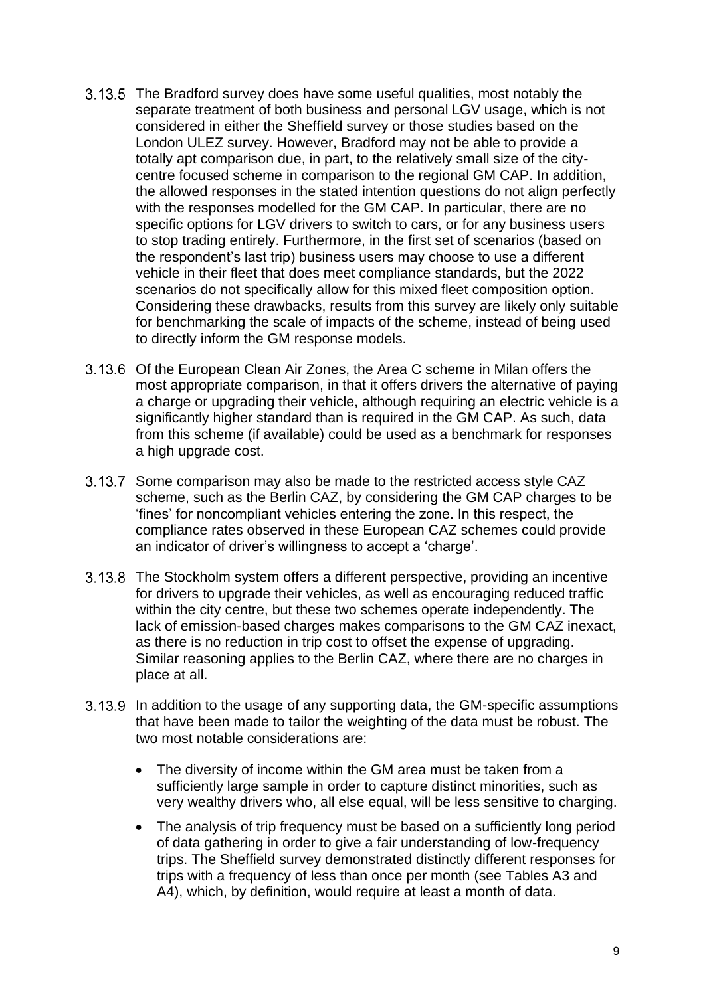- 3.13.5 The Bradford survey does have some useful qualities, most notably the separate treatment of both business and personal LGV usage, which is not considered in either the Sheffield survey or those studies based on the London ULEZ survey. However, Bradford may not be able to provide a totally apt comparison due, in part, to the relatively small size of the citycentre focused scheme in comparison to the regional GM CAP. In addition, the allowed responses in the stated intention questions do not align perfectly with the responses modelled for the GM CAP. In particular, there are no specific options for LGV drivers to switch to cars, or for any business users to stop trading entirely. Furthermore, in the first set of scenarios (based on the respondent's last trip) business users may choose to use a different vehicle in their fleet that does meet compliance standards, but the 2022 scenarios do not specifically allow for this mixed fleet composition option. Considering these drawbacks, results from this survey are likely only suitable for benchmarking the scale of impacts of the scheme, instead of being used to directly inform the GM response models.
- 3.13.6 Of the European Clean Air Zones, the Area C scheme in Milan offers the most appropriate comparison, in that it offers drivers the alternative of paying a charge or upgrading their vehicle, although requiring an electric vehicle is a significantly higher standard than is required in the GM CAP. As such, data from this scheme (if available) could be used as a benchmark for responses a high upgrade cost.
- 3.13.7 Some comparison may also be made to the restricted access style CAZ scheme, such as the Berlin CAZ, by considering the GM CAP charges to be 'fines' for noncompliant vehicles entering the zone. In this respect, the compliance rates observed in these European CAZ schemes could provide an indicator of driver's willingness to accept a 'charge'.
- 3.13.8 The Stockholm system offers a different perspective, providing an incentive for drivers to upgrade their vehicles, as well as encouraging reduced traffic within the city centre, but these two schemes operate independently. The lack of emission-based charges makes comparisons to the GM CAZ inexact, as there is no reduction in trip cost to offset the expense of upgrading. Similar reasoning applies to the Berlin CAZ, where there are no charges in place at all.
- In addition to the usage of any supporting data, the GM-specific assumptions that have been made to tailor the weighting of the data must be robust. The two most notable considerations are:
	- The diversity of income within the GM area must be taken from a sufficiently large sample in order to capture distinct minorities, such as very wealthy drivers who, all else equal, will be less sensitive to charging.
	- The analysis of trip frequency must be based on a sufficiently long period of data gathering in order to give a fair understanding of low-frequency trips. The Sheffield survey demonstrated distinctly different responses for trips with a frequency of less than once per month (see Tables A3 and A4), which, by definition, would require at least a month of data.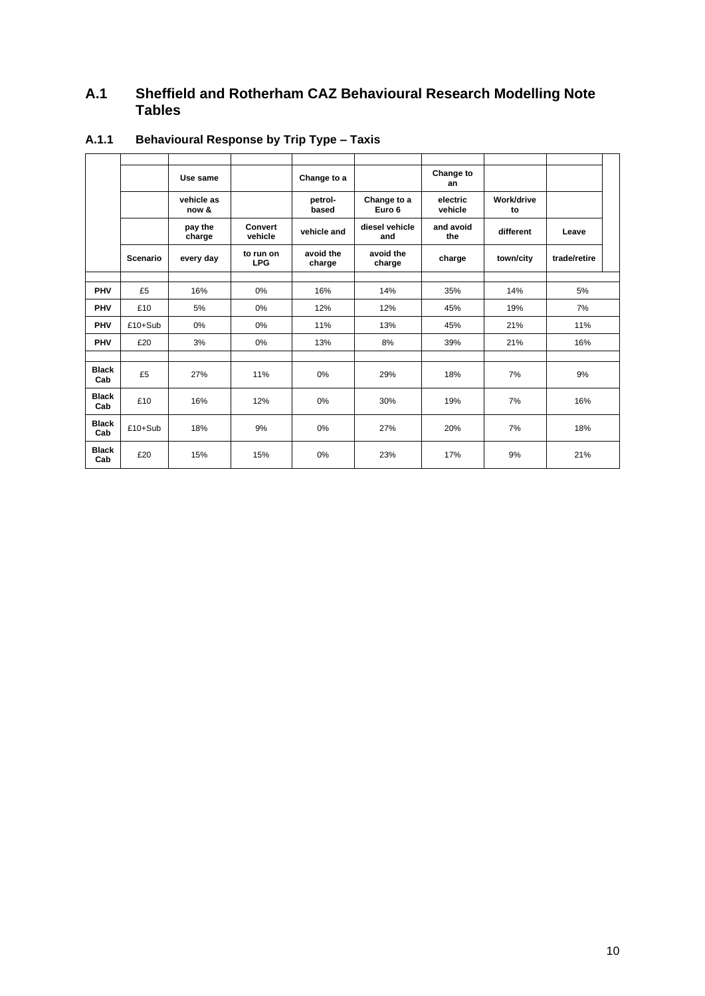# **A.1 Sheffield and Rotherham CAZ Behavioural Research Modelling Note Tables**

|                     |           | Use same            |                           | Change to a         |                       | Change to<br>an     |                  |              |  |
|---------------------|-----------|---------------------|---------------------------|---------------------|-----------------------|---------------------|------------------|--------------|--|
|                     |           | vehicle as<br>now & |                           | petrol-<br>based    | Change to a<br>Euro 6 | electric<br>vehicle | Work/drive<br>to |              |  |
|                     |           | pay the<br>charge   | <b>Convert</b><br>vehicle | vehicle and         | diesel vehicle<br>and | and avoid<br>the    | different        | Leave        |  |
|                     | Scenario  | every day           | to run on<br><b>LPG</b>   | avoid the<br>charge | avoid the<br>charge   | charge              | town/city        | trade/retire |  |
|                     |           |                     |                           |                     |                       |                     |                  |              |  |
| <b>PHV</b>          | £5        | 16%                 | 0%                        | 16%                 | 14%                   | 35%                 | 14%              | 5%           |  |
| <b>PHV</b>          | £10       | 5%                  | 0%                        | 12%                 | 12%                   | 45%                 | 19%              | 7%           |  |
| <b>PHV</b>          | $£10+Sub$ | 0%                  | 0%                        | 11%                 | 13%                   | 45%                 | 21%              | 11%          |  |
| <b>PHV</b>          | £20       | 3%                  | 0%                        | 13%                 | 8%                    | 39%                 | 21%              | 16%          |  |
|                     |           |                     |                           |                     |                       |                     |                  |              |  |
| <b>Black</b><br>Cab | £5        | 27%                 | 11%                       | 0%                  | 29%                   | 18%                 | 7%               | 9%           |  |
| <b>Black</b><br>Cab | £10       | 16%                 | 12%                       | 0%                  | 30%                   | 19%                 | 7%               | 16%          |  |
| <b>Black</b><br>Cab | $£10+Sub$ | 18%                 | 9%                        | 0%                  | 27%                   | 20%                 | 7%               | 18%          |  |
| <b>Black</b><br>Cab | £20       | 15%                 | 15%                       | 0%                  | 23%                   | 17%                 | 9%               | 21%          |  |

# **A.1.1 Behavioural Response by Trip Type – Taxis**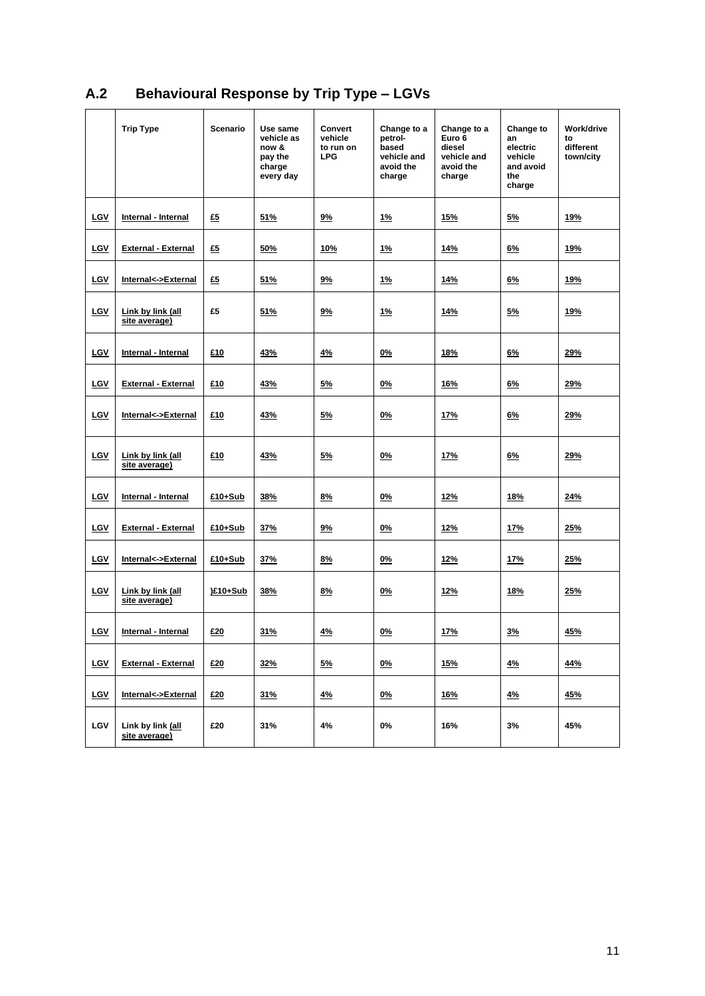|            | <b>Trip Type</b>                   | Scenario | Use same<br>vehicle as<br>now &<br>pay the<br>charge<br>every day | Convert<br>vehicle<br>to run on<br><b>LPG</b> | Change to a<br>petrol-<br>based<br>vehicle and<br>avoid the<br>charge | Change to a<br>Euro 6<br>diesel<br>vehicle and<br>avoid the<br>charge | Change to<br>an<br>electric<br>vehicle<br>and avoid<br>the<br>charge | Work/drive<br>to<br>different<br>town/city |
|------------|------------------------------------|----------|-------------------------------------------------------------------|-----------------------------------------------|-----------------------------------------------------------------------|-----------------------------------------------------------------------|----------------------------------------------------------------------|--------------------------------------------|
| LGV        | Internal - Internal                | £5       | 1%<br>51%<br>9%<br>15%                                            |                                               | 5%                                                                    | 19%                                                                   |                                                                      |                                            |
| LGV        | <b>External - External</b>         | £5       | 50%                                                               | 10%                                           | <u>1%</u>                                                             | 14%                                                                   | 6%                                                                   | 19%                                        |
| LGV        | Internal<->External                | £5       | 51%                                                               | 9%                                            | <u>1%</u>                                                             | 14%                                                                   | 6%                                                                   | 19%                                        |
| <b>LGV</b> | Link by link (all<br>site average) | £5       | 51%                                                               | <u>9%</u>                                     | <u>1%</u>                                                             | <u>14%</u>                                                            | <u>5%</u>                                                            | <b>19%</b>                                 |
| LGV        | Internal - Internal                | £10      | 43%                                                               | 4%                                            | 0%                                                                    | 18%                                                                   | 6%                                                                   | 29%                                        |
| LGV        | <b>External - External</b>         | £10      | 43%                                                               | 5%                                            | 0%                                                                    | 16%                                                                   | 6%                                                                   | 29%                                        |
| <b>LGV</b> | Internal<->External                | £10      | 43%                                                               | 5%                                            | $0\%$                                                                 | 17%                                                                   | 6%                                                                   | 29%                                        |
| LGV        | Link by link (all<br>site average) | £10      | 43%                                                               | 5%                                            | 0%                                                                    | <u>17%</u>                                                            | 6%                                                                   | 29%                                        |
| LGV        | Internal - Internal                | £10+Sub  | 38%                                                               | 8%                                            | 0%                                                                    | 12%                                                                   | 18%                                                                  | 24%                                        |
| LGV        | <b>External - External</b>         | £10+Sub  | 37%                                                               | 9%                                            | 0%                                                                    | 12%                                                                   | 17%                                                                  | 25%                                        |
| LGV        | Internal<->External                | £10+Sub  | 37%                                                               | 8%                                            | 0%                                                                    | <u>12%</u>                                                            | <b>17%</b>                                                           | <u> 25%</u>                                |
| LGV        | Link by link (all<br>site average) | )£10+Sub | 38%                                                               | 8%                                            | 0%                                                                    | 12%                                                                   | <b>18%</b>                                                           | 25%                                        |
| LGV        | Internal - Internal                | £20      | 31%                                                               | 4%                                            | 0%                                                                    | 17%                                                                   | 3%                                                                   | 45%                                        |
| LGV        | <b>External - External</b>         | £20      | 32%                                                               | 5%                                            | 0%                                                                    | <u>15%</u>                                                            | <u>4%</u>                                                            | 44%                                        |
| LGV        | Internal<->External                | £20      | 31%                                                               | <u>4%</u>                                     | <u>0%</u>                                                             | <u>16%</u>                                                            | <u>4%</u>                                                            | <u>45%</u>                                 |
| LGV        | Link by link (all<br>site average) | £20      | 31%                                                               | 4%                                            | 0%                                                                    | 16%                                                                   | 3%                                                                   | 45%                                        |

# **A.2 Behavioural Response by Trip Type – LGVs**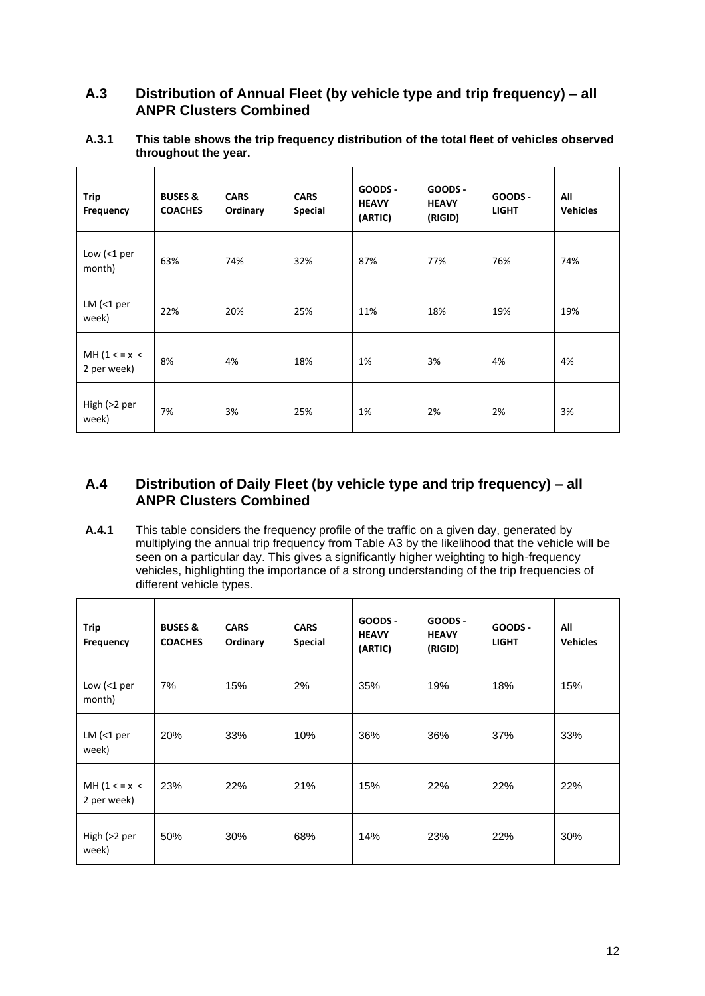## **A.3 Distribution of Annual Fleet (by vehicle type and trip frequency) – all ANPR Clusters Combined**

**A.3.1 This table shows the trip frequency distribution of the total fleet of vehicles observed throughout the year.**

| <b>Trip</b><br>Frequency     | <b>BUSES &amp;</b><br><b>COACHES</b> | <b>CARS</b><br>Ordinary | <b>CARS</b><br><b>Special</b> | GOODS -<br><b>HEAVY</b><br>(ARTIC) | GOODS -<br><b>HEAVY</b><br>(RIGID) | GOODS -<br><b>LIGHT</b> | All<br><b>Vehicles</b> |
|------------------------------|--------------------------------------|-------------------------|-------------------------------|------------------------------------|------------------------------------|-------------------------|------------------------|
| Low (<1 per<br>month)        | 63%                                  | 74%                     | 32%                           | 87%                                | 77%                                | 76%                     | 74%                    |
| $LM$ (<1 per<br>week)        | 22%                                  | 20%                     | 25%                           | 11%                                | 18%                                | 19%                     | 19%                    |
| MH $(1 < x <$<br>2 per week) | 8%                                   | 4%                      | 18%                           | 1%                                 | 3%                                 | 4%                      | 4%                     |
| High (>2 per<br>week)        | 7%                                   | 3%                      | 25%                           | 1%                                 | 2%                                 | 2%                      | 3%                     |

## **A.4 Distribution of Daily Fleet (by vehicle type and trip frequency) – all ANPR Clusters Combined**

**A.4.1** This table considers the frequency profile of the traffic on a given day, generated by multiplying the annual trip frequency from Table A3 by the likelihood that the vehicle will be seen on a particular day. This gives a significantly higher weighting to high-frequency vehicles, highlighting the importance of a strong understanding of the trip frequencies of different vehicle types.

| Trip<br>Frequency            | <b>BUSES &amp;</b><br><b>COACHES</b> | <b>CARS</b><br>Ordinary | <b>CARS</b><br><b>Special</b> | GOODS -<br><b>HEAVY</b><br>(ARTIC) | GOODS -<br><b>HEAVY</b><br>(RIGID) | GOODS -<br><b>LIGHT</b> | All<br><b>Vehicles</b> |
|------------------------------|--------------------------------------|-------------------------|-------------------------------|------------------------------------|------------------------------------|-------------------------|------------------------|
| Low $($ 1 per<br>month)      | 7%                                   | 15%                     | 2%                            | 35%                                | 19%                                | 18%                     | 15%                    |
| $LM$ (<1 per<br>week)        | 20%                                  | 33%                     | 10%                           | 36%                                | 36%                                | 37%                     | 33%                    |
| MH $(1 < x <$<br>2 per week) | 23%                                  | 22%                     | 21%                           | 15%                                | 22%                                | 22%                     | 22%                    |
| High (>2 per<br>week)        | 50%                                  | 30%                     | 68%                           | 14%                                | 23%                                | 22%                     | 30%                    |